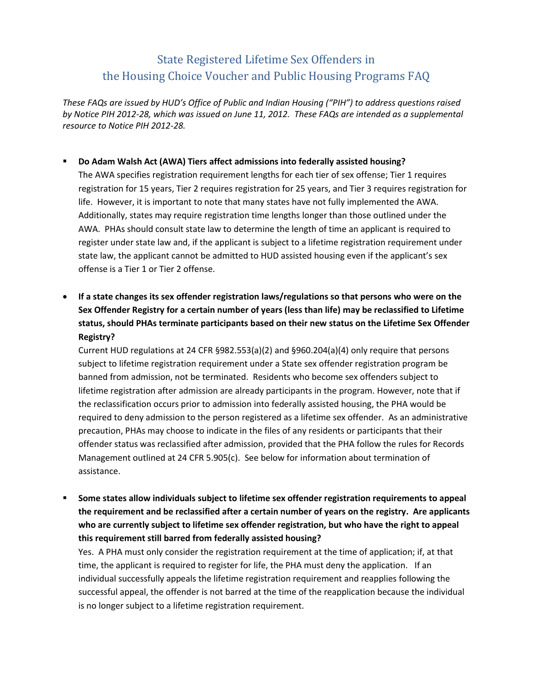## State Registered Lifetime Sex Offenders in the Housing Choice Voucher and Public Housing Programs FAQ

*These FAQs are issued by HUD's Office of Public and Indian Housing ("PIH") to address questions raised by Notice PIH 2012-28, which was issued on June 11, 2012. These FAQs are intended as a supplemental resource to Notice PIH 2012-28.* 

## **Do Adam Walsh Act (AWA) Tiers affect admissions into federally assisted housing?**

The AWA specifies registration requirement lengths for each tier of sex offense; Tier 1 requires registration for 15 years, Tier 2 requires registration for 25 years, and Tier 3 requires registration for life. However, it is important to note that many states have not fully implemented the AWA. Additionally, states may require registration time lengths longer than those outlined under the AWA. PHAs should consult state law to determine the length of time an applicant is required to register under state law and, if the applicant is subject to a lifetime registration requirement under state law, the applicant cannot be admitted to HUD assisted housing even if the applicant's sex offense is a Tier 1 or Tier 2 offense.

 **If a state changes its sex offender registration laws/regulations so that persons who were on the Sex Offender Registry for a certain number of years (less than life) may be reclassified to Lifetime status, should PHAs terminate participants based on their new status on the Lifetime Sex Offender Registry?**

Current HUD regulations at 24 CFR §982.553(a)(2) and §960.204(a)(4) only require that persons subject to lifetime registration requirement under a State sex offender registration program be banned from admission, not be terminated. Residents who become sex offenders subject to lifetime registration after admission are already participants in the program. However, note that if the reclassification occurs prior to admission into federally assisted housing, the PHA would be required to deny admission to the person registered as a lifetime sex offender. As an administrative precaution, PHAs may choose to indicate in the files of any residents or participants that their offender status was reclassified after admission, provided that the PHA follow the rules for Records Management outlined at 24 CFR 5.905(c). See below for information about termination of assistance.

 **Some states allow individuals subject to lifetime sex offender registration requirements to appeal the requirement and be reclassified after a certain number of years on the registry. Are applicants who are currently subject to lifetime sex offender registration, but who have the right to appeal this requirement still barred from federally assisted housing?**

Yes. A PHA must only consider the registration requirement at the time of application; if, at that time, the applicant is required to register for life, the PHA must deny the application. If an individual successfully appeals the lifetime registration requirement and reapplies following the successful appeal, the offender is not barred at the time of the reapplication because the individual is no longer subject to a lifetime registration requirement.